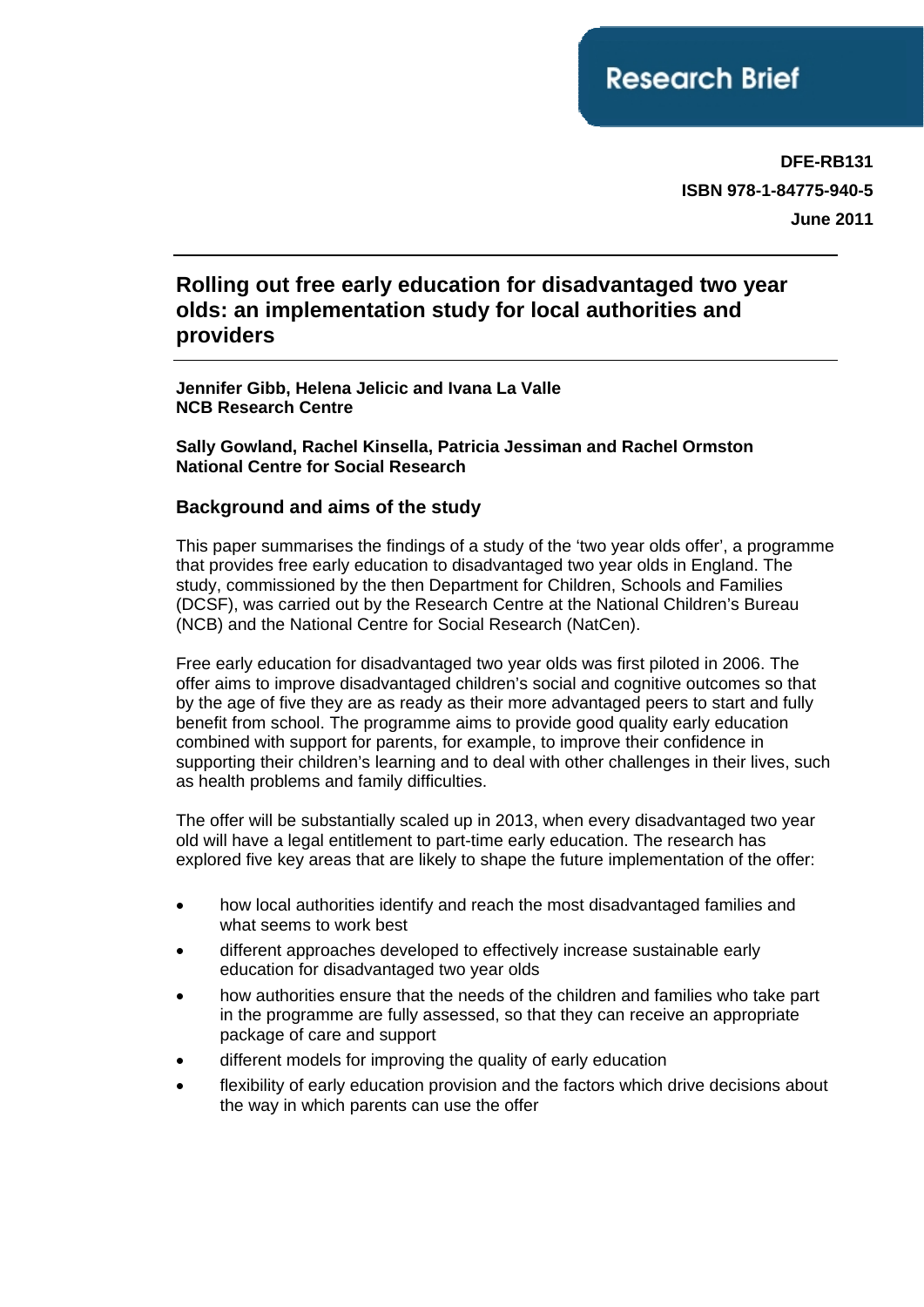**DFE-RB131 ISBN 978-1-84775-940-5 June 2011**

# **Rolling out free early education for disadvantaged two year olds: an implementation study for local authorities and providers**

**Jennifer Gibb, Helena Jelicic and Ivana La Valle NCB Research Centre** 

**Sally Gowland, Rachel Kinsella, Patricia Jessiman and Rachel Ormston National Centre for Social Research**

### **Background and aims of the study**

This paper summarises the findings of a study of the 'two year olds offer', a programme that provides free early education to disadvantaged two year olds in England. The study, commissioned by the then Department for Children, Schools and Families (DCSF), was carried out by the Research Centre at the National Children's Bureau (NCB) and the National Centre for Social Research (NatCen).

Free early education for disadvantaged two year olds was first piloted in 2006. The offer aims to improve disadvantaged children's social and cognitive outcomes so that by the age of five they are as ready as their more advantaged peers to start and fully benefit from school. The programme aims to provide good quality early education combined with support for parents, for example, to improve their confidence in supporting their children's learning and to deal with other challenges in their lives, such as health problems and family difficulties.

The offer will be substantially scaled up in 2013, when every disadvantaged two year old will have a legal entitlement to part-time early education. The research has explored five key areas that are likely to shape the future implementation of the offer:

- how local authorities identify and reach the most disadvantaged families and what seems to work best
- different approaches developed to effectively increase sustainable early education for disadvantaged two year olds
- how authorities ensure that the needs of the children and families who take part in the programme are fully assessed, so that they can receive an appropriate package of care and support
- different models for improving the quality of early education
- flexibility of early education provision and the factors which drive decisions about the way in which parents can use the offer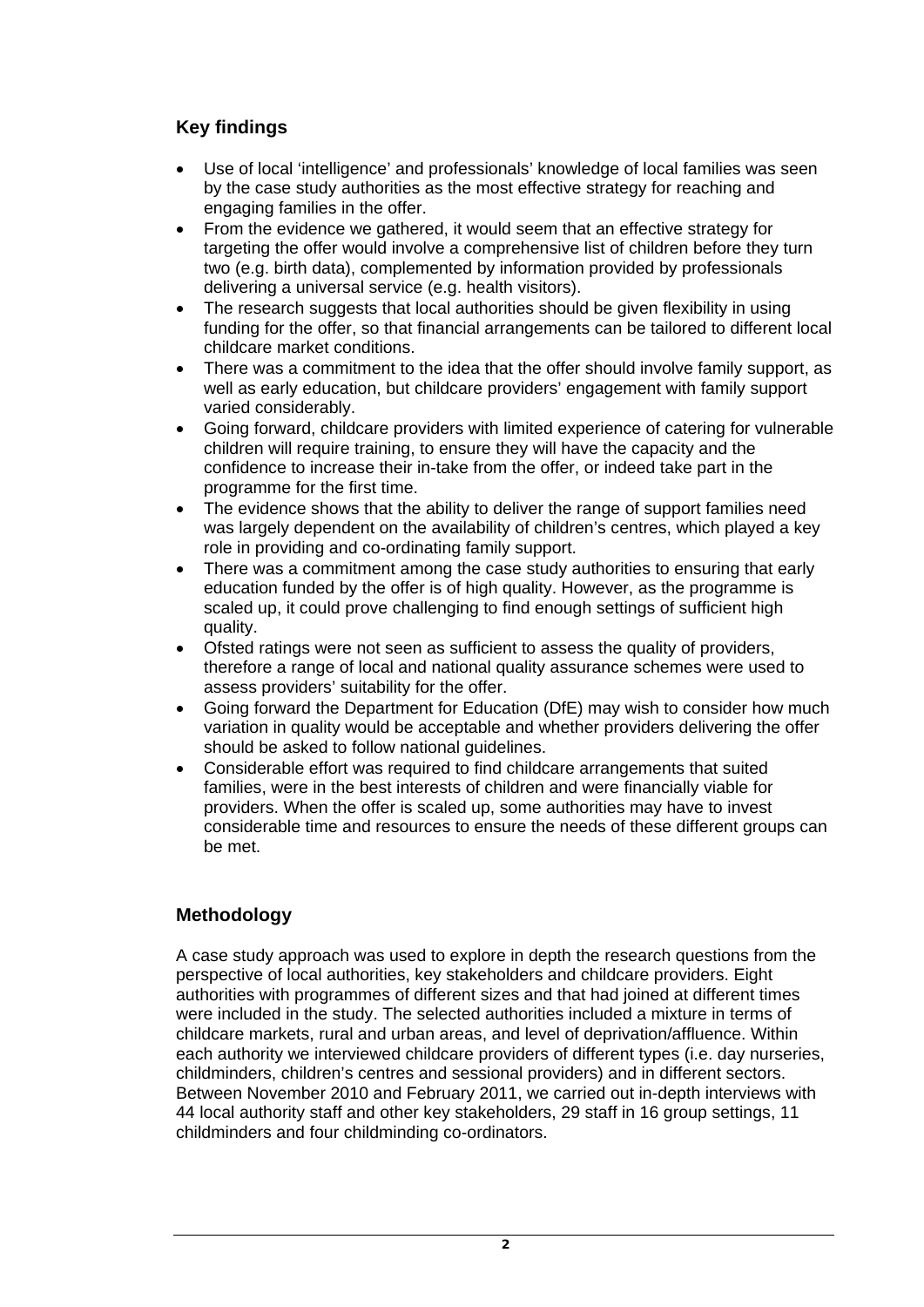# **Key findings**

- Use of local 'intelligence' and professionals' knowledge of local families was seen by the case study authorities as the most effective strategy for reaching and engaging families in the offer.
- From the evidence we gathered, it would seem that an effective strategy for targeting the offer would involve a comprehensive list of children before they turn two (e.g. birth data), complemented by information provided by professionals delivering a universal service (e.g. health visitors).
- The research suggests that local authorities should be given flexibility in using funding for the offer, so that financial arrangements can be tailored to different local childcare market conditions.
- There was a commitment to the idea that the offer should involve family support, as well as early education, but childcare providers' engagement with family support varied considerably.
- Going forward, childcare providers with limited experience of catering for vulnerable children will require training, to ensure they will have the capacity and the confidence to increase their in-take from the offer, or indeed take part in the programme for the first time.
- The evidence shows that the ability to deliver the range of support families need was largely dependent on the availability of children's centres, which played a key role in providing and co-ordinating family support.
- There was a commitment among the case study authorities to ensuring that early education funded by the offer is of high quality. However, as the programme is scaled up, it could prove challenging to find enough settings of sufficient high quality.
- Ofsted ratings were not seen as sufficient to assess the quality of providers, therefore a range of local and national quality assurance schemes were used to assess providers' suitability for the offer.
- Going forward the Department for Education (DfE) may wish to consider how much variation in quality would be acceptable and whether providers delivering the offer should be asked to follow national guidelines.
- Considerable effort was required to find childcare arrangements that suited families, were in the best interests of children and were financially viable for providers. When the offer is scaled up, some authorities may have to invest considerable time and resources to ensure the needs of these different groups can be met.

# **Methodology**

A case study approach was used to explore in depth the research questions from the perspective of local authorities, key stakeholders and childcare providers. Eight authorities with programmes of different sizes and that had joined at different times were included in the study. The selected authorities included a mixture in terms of childcare markets, rural and urban areas, and level of deprivation/affluence. Within each authority we interviewed childcare providers of different types (i.e. day nurseries, childminders, children's centres and sessional providers) and in different sectors. Between November 2010 and February 2011, we carried out in-depth interviews with 44 local authority staff and other key stakeholders, 29 staff in 16 group settings, 11 childminders and four childminding co-ordinators.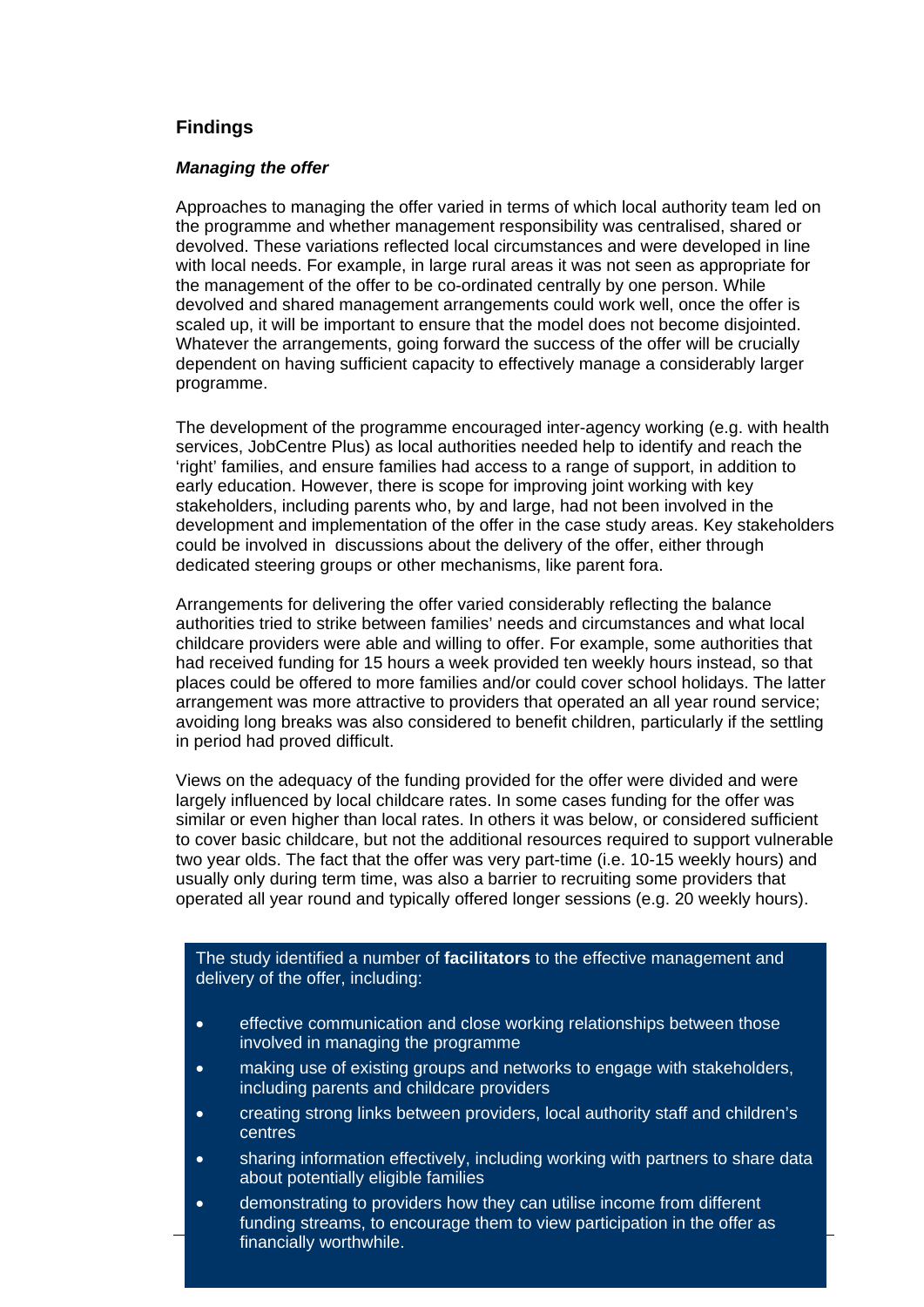### **Findings**

#### *Managing the offer*

Approaches to managing the offer varied in terms of which local authority team led on the programme and whether management responsibility was centralised, shared or devolved. These variations reflected local circumstances and were developed in line with local needs. For example, in large rural areas it was not seen as appropriate for the management of the offer to be co-ordinated centrally by one person. While devolved and shared management arrangements could work well, once the offer is scaled up, it will be important to ensure that the model does not become disjointed. Whatever the arrangements, going forward the success of the offer will be crucially dependent on having sufficient capacity to effectively manage a considerably larger programme.

The development of the programme encouraged inter-agency working (e.g. with health services, JobCentre Plus) as local authorities needed help to identify and reach the 'right' families, and ensure families had access to a range of support, in addition to early education. However, there is scope for improving joint working with key stakeholders, including parents who, by and large, had not been involved in the development and implementation of the offer in the case study areas. Key stakeholders could be involved in discussions about the delivery of the offer, either through dedicated steering groups or other mechanisms, like parent fora.

Arrangements for delivering the offer varied considerably reflecting the balance authorities tried to strike between families' needs and circumstances and what local childcare providers were able and willing to offer. For example, some authorities that had received funding for 15 hours a week provided ten weekly hours instead, so that places could be offered to more families and/or could cover school holidays. The latter arrangement was more attractive to providers that operated an all year round service; avoiding long breaks was also considered to benefit children, particularly if the settling in period had proved difficult.

Views on the adequacy of the funding provided for the offer were divided and were largely influenced by local childcare rates. In some cases funding for the offer was similar or even higher than local rates. In others it was below, or considered sufficient to cover basic childcare, but not the additional resources required to support vulnerable two year olds. The fact that the offer was very part-time (i.e. 10-15 weekly hours) and usually only during term time, was also a barrier to recruiting some providers that operated all year round and typically offered longer sessions (e.g. 20 weekly hours).

The study identified a number of **facilitators** to the effective management and delivery of the offer, including:

- effective communication and close working relationships between those involved in managing the programme
- making use of existing groups and networks to engage with stakeholders, including parents and childcare providers
- creating strong links between providers, local authority staff and children's centres
- sharing information effectively, including working with partners to share data about potentially eligible families
- **Example 3 Indian Cially worthwhile.** The state of the state of the state of the state of the state of the state of the state of the state of the state of the state of the state of the state of the state of the state of th • demonstrating to providers how they can utilise income from different funding streams, to encourage them to view participation in the offer as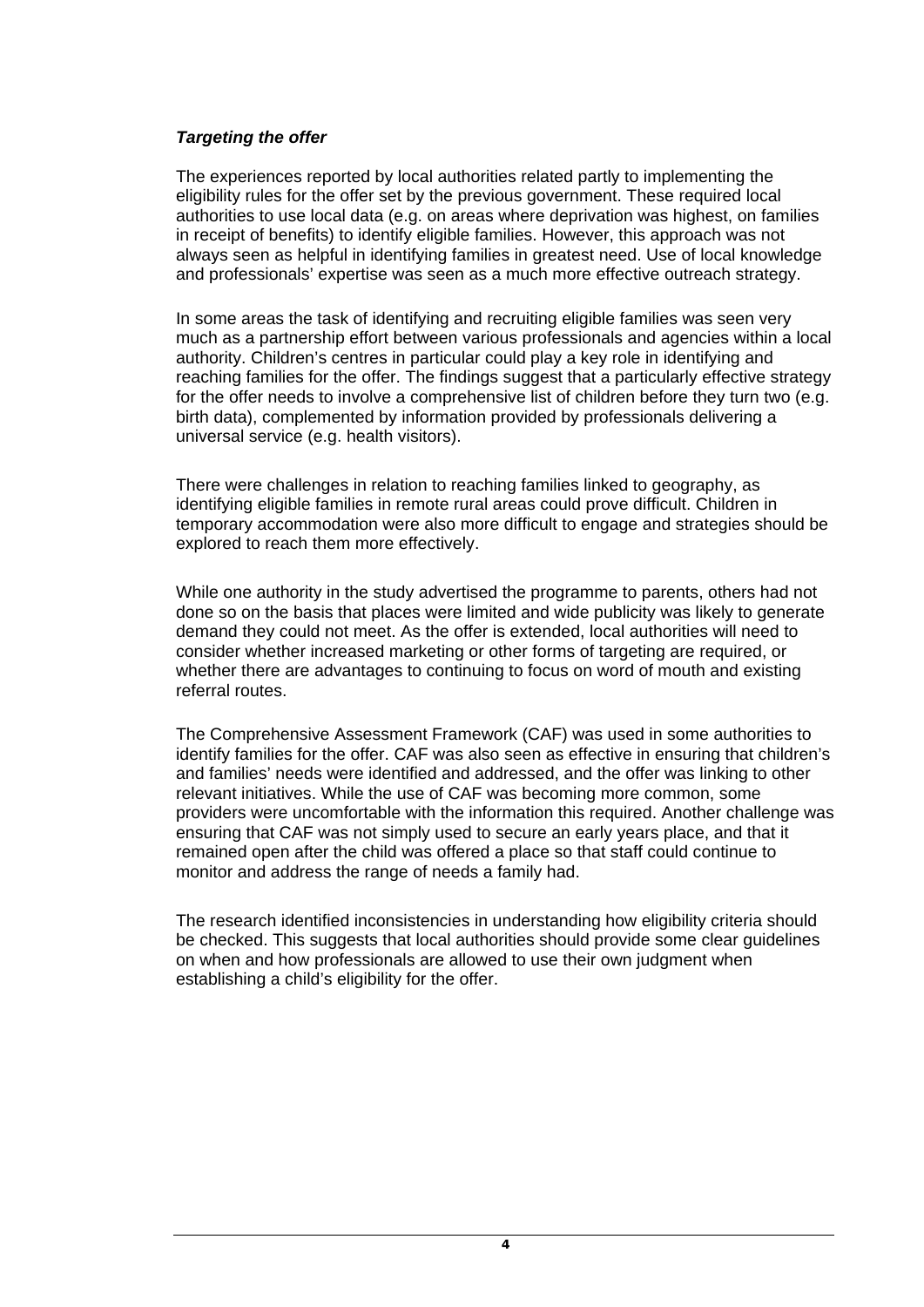### *Targeting the offer*

The experiences reported by local authorities related partly to implementing the eligibility rules for the offer set by the previous government. These required local authorities to use local data (e.g. on areas where deprivation was highest, on families in receipt of benefits) to identify eligible families. However, this approach was not always seen as helpful in identifying families in greatest need. Use of local knowledge and professionals' expertise was seen as a much more effective outreach strategy.

In some areas the task of identifying and recruiting eligible families was seen very much as a partnership effort between various professionals and agencies within a local authority. Children's centres in particular could play a key role in identifying and reaching families for the offer. The findings suggest that a particularly effective strategy for the offer needs to involve a comprehensive list of children before they turn two (e.g. birth data), complemented by information provided by professionals delivering a universal service (e.g. health visitors).

There were challenges in relation to reaching families linked to geography, as identifying eligible families in remote rural areas could prove difficult. Children in temporary accommodation were also more difficult to engage and strategies should be explored to reach them more effectively.

While one authority in the study advertised the programme to parents, others had not done so on the basis that places were limited and wide publicity was likely to generate demand they could not meet. As the offer is extended, local authorities will need to consider whether increased marketing or other forms of targeting are required, or whether there are advantages to continuing to focus on word of mouth and existing referral routes.

The Comprehensive Assessment Framework (CAF) was used in some authorities to identify families for the offer. CAF was also seen as effective in ensuring that children's and families' needs were identified and addressed, and the offer was linking to other relevant initiatives. While the use of CAF was becoming more common, some providers were uncomfortable with the information this required. Another challenge was ensuring that CAF was not simply used to secure an early years place, and that it remained open after the child was offered a place so that staff could continue to monitor and address the range of needs a family had.

The research identified inconsistencies in understanding how eligibility criteria should be checked. This suggests that local authorities should provide some clear guidelines on when and how professionals are allowed to use their own judgment when establishing a child's eligibility for the offer.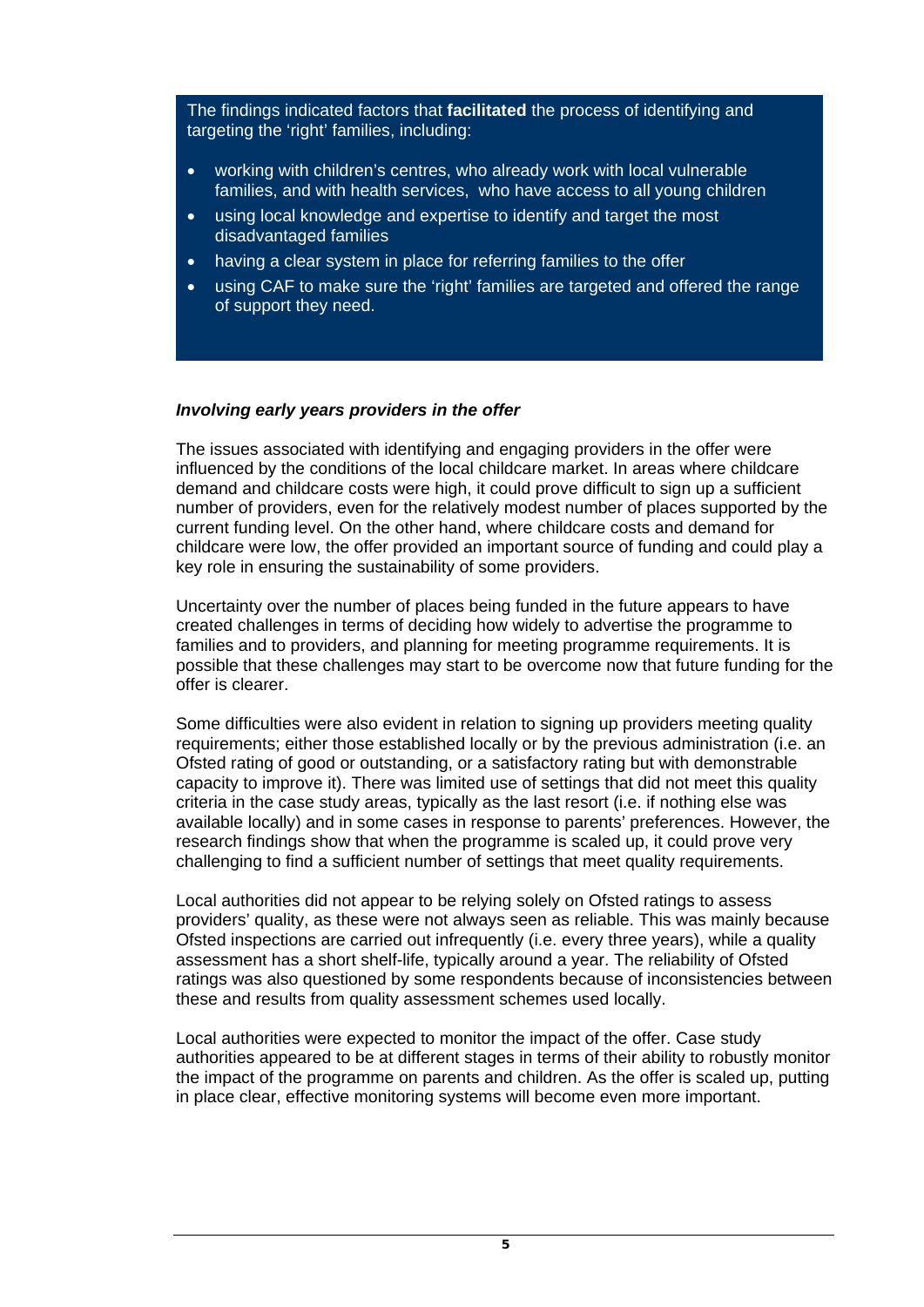The findings indicated factors that **facilitated** the process of identifying and targeting the 'right' families, including:

- working with children's centres, who already work with local vulnerable families, and with health services, who have access to all young children
- using local knowledge and expertise to identify and target the most disadvantaged families
- having a clear system in place for referring families to the offer
- using CAF to make sure the 'right' families are targeted and offered the range of support they need.

### *Involving early years providers in the offer*

The issues associated with identifying and engaging providers in the offer were influenced by the conditions of the local childcare market. In areas where childcare demand and childcare costs were high, it could prove difficult to sign up a sufficient number of providers, even for the relatively modest number of places supported by the current funding level. On the other hand, where childcare costs and demand for childcare were low, the offer provided an important source of funding and could play a key role in ensuring the sustainability of some providers.

Uncertainty over the number of places being funded in the future appears to have created challenges in terms of deciding how widely to advertise the programme to families and to providers, and planning for meeting programme requirements. It is possible that these challenges may start to be overcome now that future funding for the offer is clearer.

Some difficulties were also evident in relation to signing up providers meeting quality requirements; either those established locally or by the previous administration (i.e. an Ofsted rating of good or outstanding, or a satisfactory rating but with demonstrable capacity to improve it). There was limited use of settings that did not meet this quality criteria in the case study areas, typically as the last resort (i.e. if nothing else was available locally) and in some cases in response to parents' preferences. However, the research findings show that when the programme is scaled up, it could prove very challenging to find a sufficient number of settings that meet quality requirements.

Local authorities did not appear to be relying solely on Ofsted ratings to assess providers' quality, as these were not always seen as reliable. This was mainly because Ofsted inspections are carried out infrequently (i.e. every three years), while a quality assessment has a short shelf-life, typically around a year. The reliability of Ofsted ratings was also questioned by some respondents because of inconsistencies between these and results from quality assessment schemes used locally.

Local authorities were expected to monitor the impact of the offer. Case study authorities appeared to be at different stages in terms of their ability to robustly monitor the impact of the programme on parents and children. As the offer is scaled up, putting in place clear, effective monitoring systems will become even more important.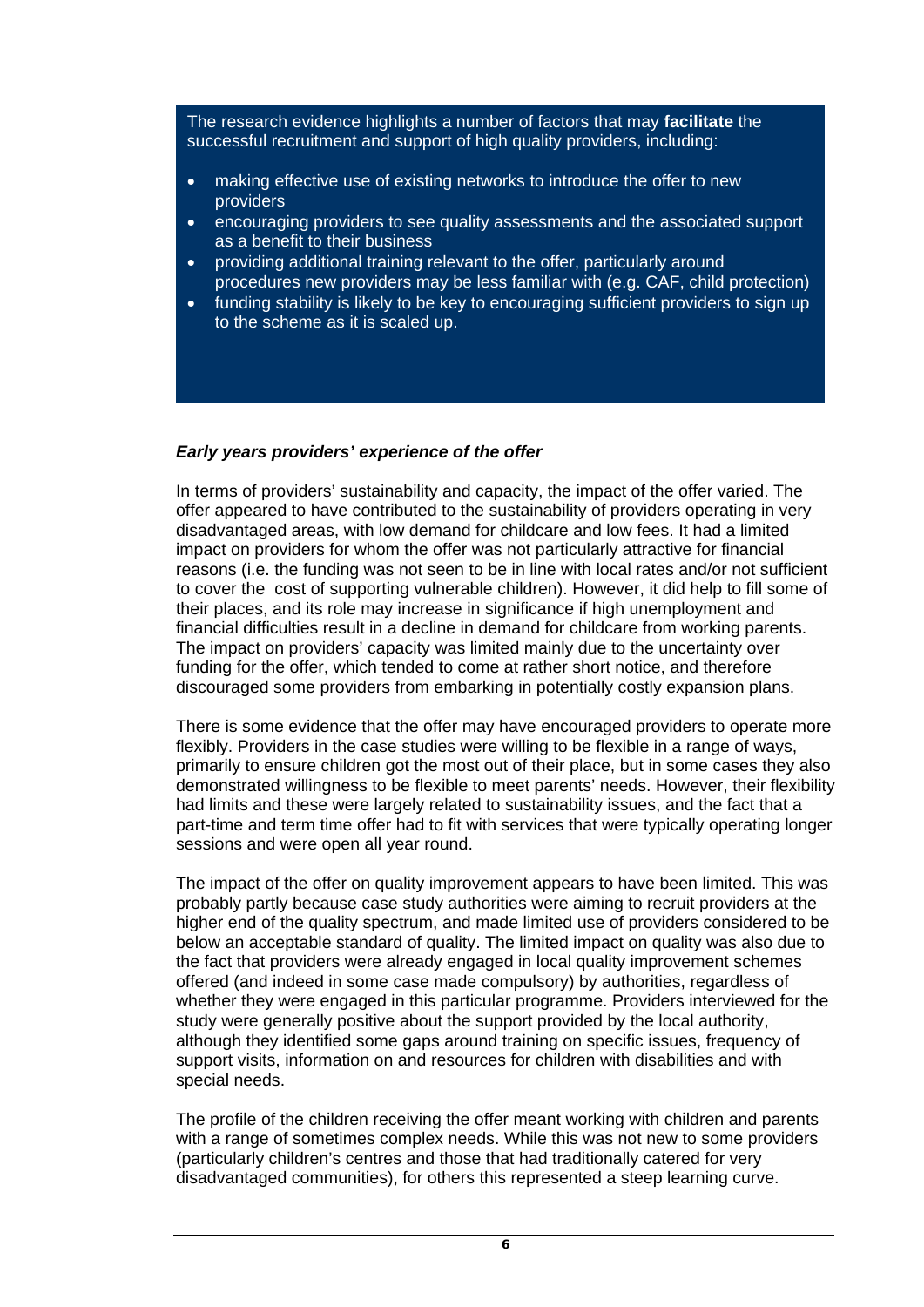The research evidence highlights a number of factors that may **facilitate** the successful recruitment and support of high quality providers, including:

- making effective use of existing networks to introduce the offer to new providers
- encouraging providers to see quality assessments and the associated support as a benefit to their business
- providing additional training relevant to the offer, particularly around procedures new providers may be less familiar with (e.g. CAF, child protection)
- funding stability is likely to be key to encouraging sufficient providers to sign up to the scheme as it is scaled up.

### *Early years providers' experience of the offer*

In terms of providers' sustainability and capacity, the impact of the offer varied. The offer appeared to have contributed to the sustainability of providers operating in very disadvantaged areas, with low demand for childcare and low fees. It had a limited impact on providers for whom the offer was not particularly attractive for financial reasons (i.e. the funding was not seen to be in line with local rates and/or not sufficient to cover the cost of supporting vulnerable children). However, it did help to fill some of their places, and its role may increase in significance if high unemployment and financial difficulties result in a decline in demand for childcare from working parents. The impact on providers' capacity was limited mainly due to the uncertainty over funding for the offer, which tended to come at rather short notice, and therefore discouraged some providers from embarking in potentially costly expansion plans.

There is some evidence that the offer may have encouraged providers to operate more flexibly. Providers in the case studies were willing to be flexible in a range of ways, primarily to ensure children got the most out of their place, but in some cases they also demonstrated willingness to be flexible to meet parents' needs. However, their flexibility had limits and these were largely related to sustainability issues, and the fact that a part-time and term time offer had to fit with services that were typically operating longer sessions and were open all year round.

The impact of the offer on quality improvement appears to have been limited. This was probably partly because case study authorities were aiming to recruit providers at the higher end of the quality spectrum, and made limited use of providers considered to be below an acceptable standard of quality. The limited impact on quality was also due to the fact that providers were already engaged in local quality improvement schemes offered (and indeed in some case made compulsory) by authorities, regardless of whether they were engaged in this particular programme. Providers interviewed for the study were generally positive about the support provided by the local authority, although they identified some gaps around training on specific issues, frequency of support visits, information on and resources for children with disabilities and with special needs.

The profile of the children receiving the offer meant working with children and parents with a range of sometimes complex needs. While this was not new to some providers (particularly children's centres and those that had traditionally catered for very disadvantaged communities), for others this represented a steep learning curve.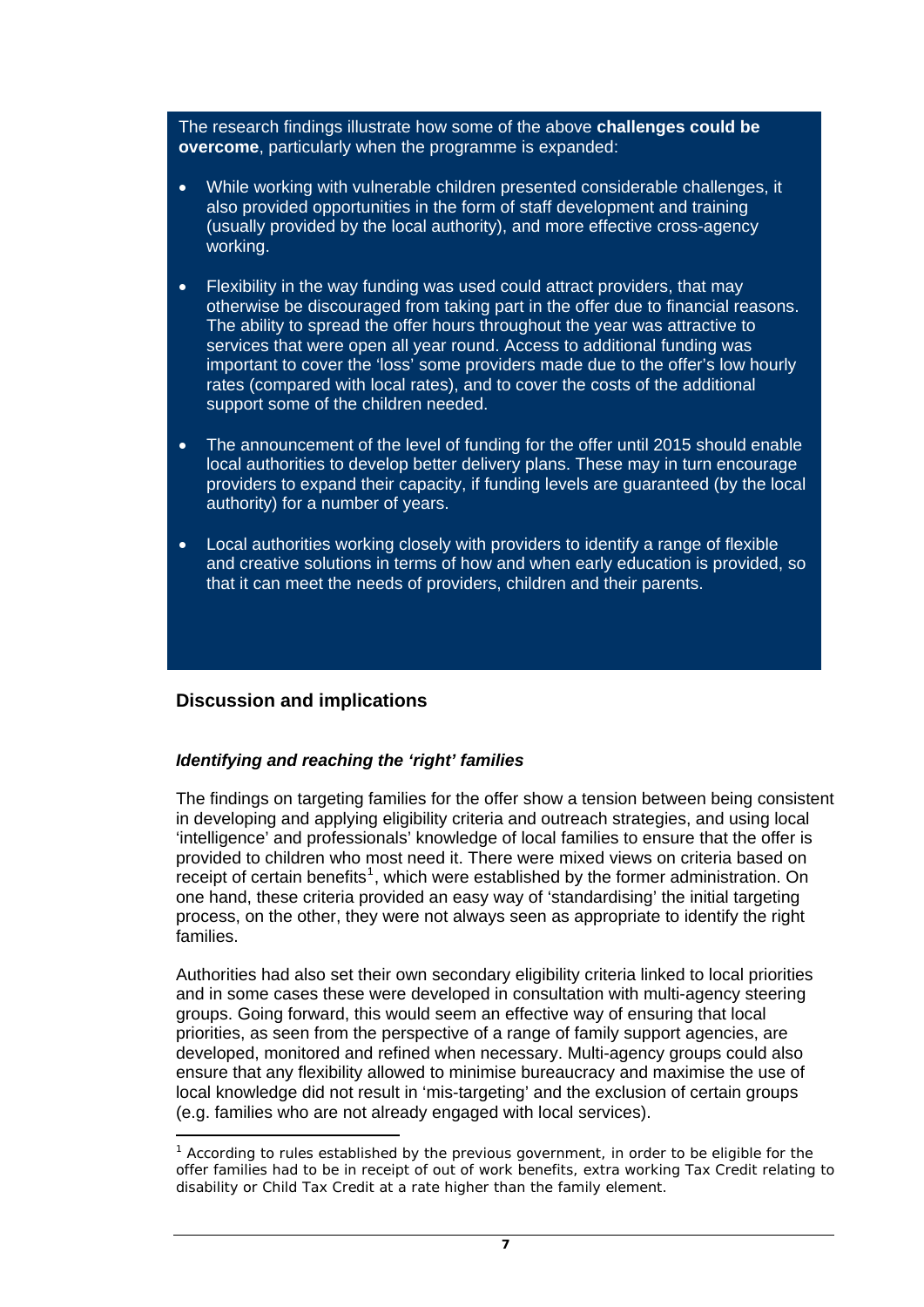The research findings illustrate how some of the above **challenges could be overcome**, particularly when the programme is expanded:

- While working with vulnerable children presented considerable challenges, it also provided opportunities in the form of staff development and training (usually provided by the local authority), and more effective cross-agency working.
- Flexibility in the way funding was used could attract providers, that may otherwise be discouraged from taking part in the offer due to financial reasons. The ability to spread the offer hours throughout the year was attractive to services that were open all year round. Access to additional funding was important to cover the 'loss' some providers made due to the offer's low hourly rates (compared with local rates), and to cover the costs of the additional support some of the children needed.
- The announcement of the level of funding for the offer until 2015 should enable local authorities to develop better delivery plans. These may in turn encourage providers to expand their capacity, if funding levels are guaranteed (by the local authority) for a number of years.
- Local authorities working closely with providers to identify a range of flexible and creative solutions in terms of how and when early education is provided, so that it can meet the needs of providers, children and their parents.

## **Discussion and implications**

## *Identifying and reaching the 'right' families*

The findings on targeting families for the offer show a tension between being consistent in developing and applying eligibility criteria and outreach strategies, and using local 'intelligence' and professionals' knowledge of local families to ensure that the offer is provided to children who most need it. There were mixed views on criteria based on receipt of certain benefits<sup>[1](#page-6-0)</sup>, which were established by the former administration. On one hand, these criteria provided an easy way of 'standardising' the initial targeting process, on the other, they were not always seen as appropriate to identify the right families.

Authorities had also set their own secondary eligibility criteria linked to local priorities and in some cases these were developed in consultation with multi-agency steering groups. Going forward, this would seem an effective way of ensuring that local priorities, as seen from the perspective of a range of family support agencies, are developed, monitored and refined when necessary. Multi-agency groups could also ensure that any flexibility allowed to minimise bureaucracy and maximise the use of local knowledge did not result in 'mis-targeting' and the exclusion of certain groups (e.g. families who are not already engaged with local services).

<span id="page-6-0"></span>j <sup>1</sup> According to rules established by the previous government, in order to be eligible for the offer families had to be in receipt of out of work benefits, extra working Tax Credit relating to disability or Child Tax Credit at a rate higher than the family element.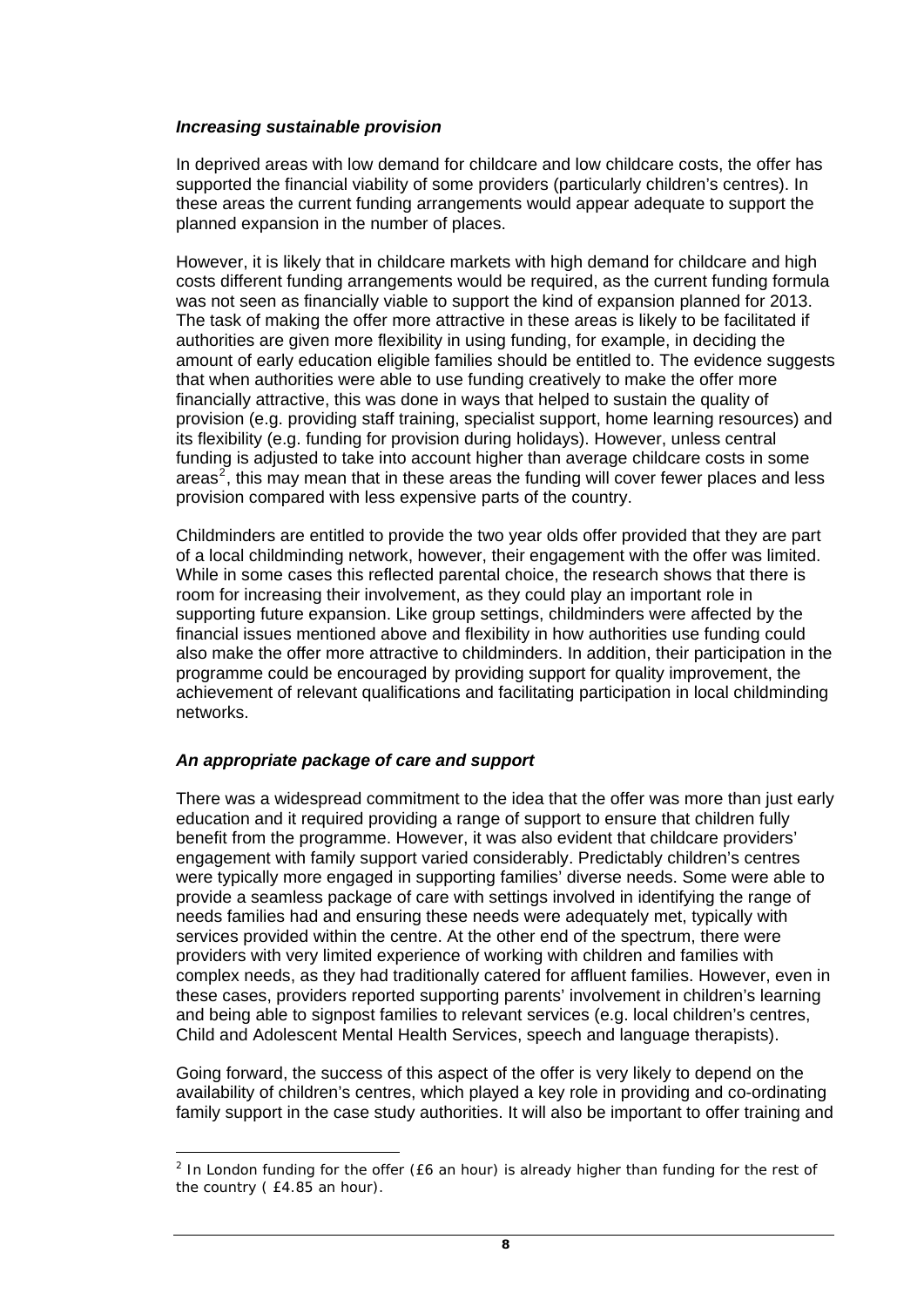### *Increasing sustainable provision*

In deprived areas with low demand for childcare and low childcare costs, the offer has supported the financial viability of some providers (particularly children's centres). In these areas the current funding arrangements would appear adequate to support the planned expansion in the number of places.

However, it is likely that in childcare markets with high demand for childcare and high costs different funding arrangements would be required, as the current funding formula was not seen as financially viable to support the kind of expansion planned for 2013. The task of making the offer more attractive in these areas is likely to be facilitated if authorities are given more flexibility in using funding, for example, in deciding the amount of early education eligible families should be entitled to. The evidence suggests that when authorities were able to use funding creatively to make the offer more financially attractive, this was done in ways that helped to sustain the quality of provision (e.g. providing staff training, specialist support, home learning resources) and its flexibility (e.g. funding for provision during holidays). However, unless central funding is adjusted to take into account higher than average childcare costs in some areas<sup>[2](#page-7-0)</sup>, this may mean that in these areas the funding will cover fewer places and less provision compared with less expensive parts of the country.

Childminders are entitled to provide the two year olds offer provided that they are part of a local childminding network, however, their engagement with the offer was limited. While in some cases this reflected parental choice, the research shows that there is room for increasing their involvement, as they could play an important role in supporting future expansion. Like group settings, childminders were affected by the financial issues mentioned above and flexibility in how authorities use funding could also make the offer more attractive to childminders. In addition, their participation in the programme could be encouraged by providing support for quality improvement, the achievement of relevant qualifications and facilitating participation in local childminding networks.

## *An appropriate package of care and support*

 $\overline{a}$ 

There was a widespread commitment to the idea that the offer was more than just early education and it required providing a range of support to ensure that children fully benefit from the programme. However, it was also evident that childcare providers' engagement with family support varied considerably. Predictably children's centres were typically more engaged in supporting families' diverse needs. Some were able to provide a seamless package of care with settings involved in identifying the range of needs families had and ensuring these needs were adequately met, typically with services provided within the centre. At the other end of the spectrum, there were providers with very limited experience of working with children and families with complex needs, as they had traditionally catered for affluent families. However, even in these cases, providers reported supporting parents' involvement in children's learning and being able to signpost families to relevant services (e.g. local children's centres, Child and Adolescent Mental Health Services, speech and language therapists).

Going forward, the success of this aspect of the offer is very likely to depend on the availability of children's centres, which played a key role in providing and co-ordinating family support in the case study authorities. It will also be important to offer training and

<span id="page-7-0"></span><sup>&</sup>lt;sup>2</sup> In London funding for the offer (£6 an hour) is already higher than funding for the rest of the country ( £4.85 an hour).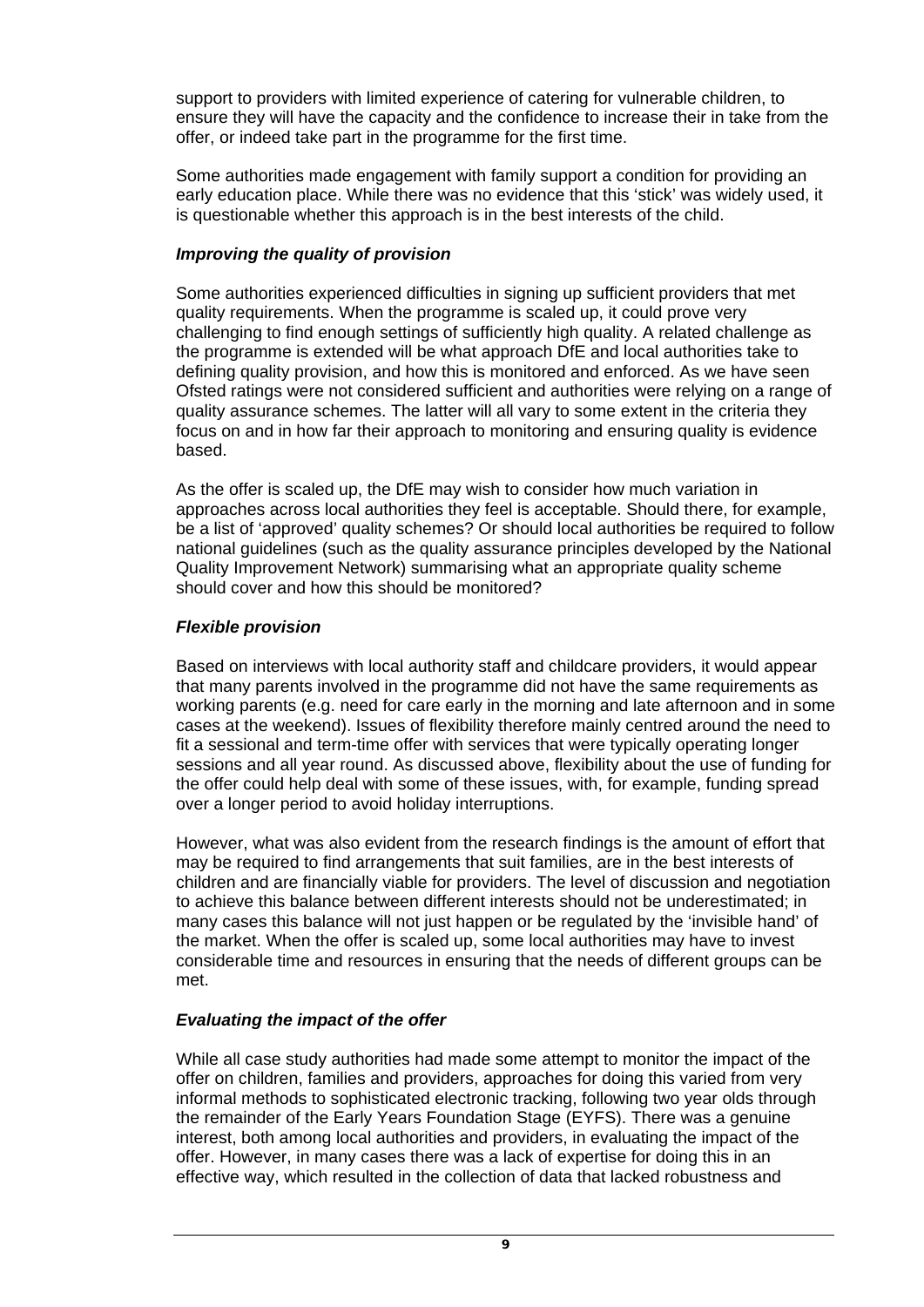support to providers with limited experience of catering for vulnerable children, to ensure they will have the capacity and the confidence to increase their in take from the offer, or indeed take part in the programme for the first time.

Some authorities made engagement with family support a condition for providing an early education place. While there was no evidence that this 'stick' was widely used, it is questionable whether this approach is in the best interests of the child.

## *Improving the quality of provision*

Some authorities experienced difficulties in signing up sufficient providers that met quality requirements. When the programme is scaled up, it could prove very challenging to find enough settings of sufficiently high quality. A related challenge as the programme is extended will be what approach DfE and local authorities take to defining quality provision, and how this is monitored and enforced. As we have seen Ofsted ratings were not considered sufficient and authorities were relying on a range of quality assurance schemes. The latter will all vary to some extent in the criteria they focus on and in how far their approach to monitoring and ensuring quality is evidence based.

As the offer is scaled up, the DfE may wish to consider how much variation in approaches across local authorities they feel is acceptable. Should there, for example, be a list of 'approved' quality schemes? Or should local authorities be required to follow national guidelines (such as the quality assurance principles developed by the National Quality Improvement Network) summarising what an appropriate quality scheme should cover and how this should be monitored?

## *Flexible provision*

Based on interviews with local authority staff and childcare providers, it would appear that many parents involved in the programme did not have the same requirements as working parents (e.g. need for care early in the morning and late afternoon and in some cases at the weekend). Issues of flexibility therefore mainly centred around the need to fit a sessional and term-time offer with services that were typically operating longer sessions and all year round. As discussed above, flexibility about the use of funding for the offer could help deal with some of these issues, with, for example, funding spread over a longer period to avoid holiday interruptions.

However, what was also evident from the research findings is the amount of effort that may be required to find arrangements that suit families, are in the best interests of children and are financially viable for providers. The level of discussion and negotiation to achieve this balance between different interests should not be underestimated; in many cases this balance will not just happen or be regulated by the 'invisible hand' of the market. When the offer is scaled up, some local authorities may have to invest considerable time and resources in ensuring that the needs of different groups can be met.

## *Evaluating the impact of the offer*

While all case study authorities had made some attempt to monitor the impact of the offer on children, families and providers, approaches for doing this varied from very informal methods to sophisticated electronic tracking, following two year olds through the remainder of the Early Years Foundation Stage (EYFS). There was a genuine interest, both among local authorities and providers, in evaluating the impact of the offer. However, in many cases there was a lack of expertise for doing this in an effective way, which resulted in the collection of data that lacked robustness and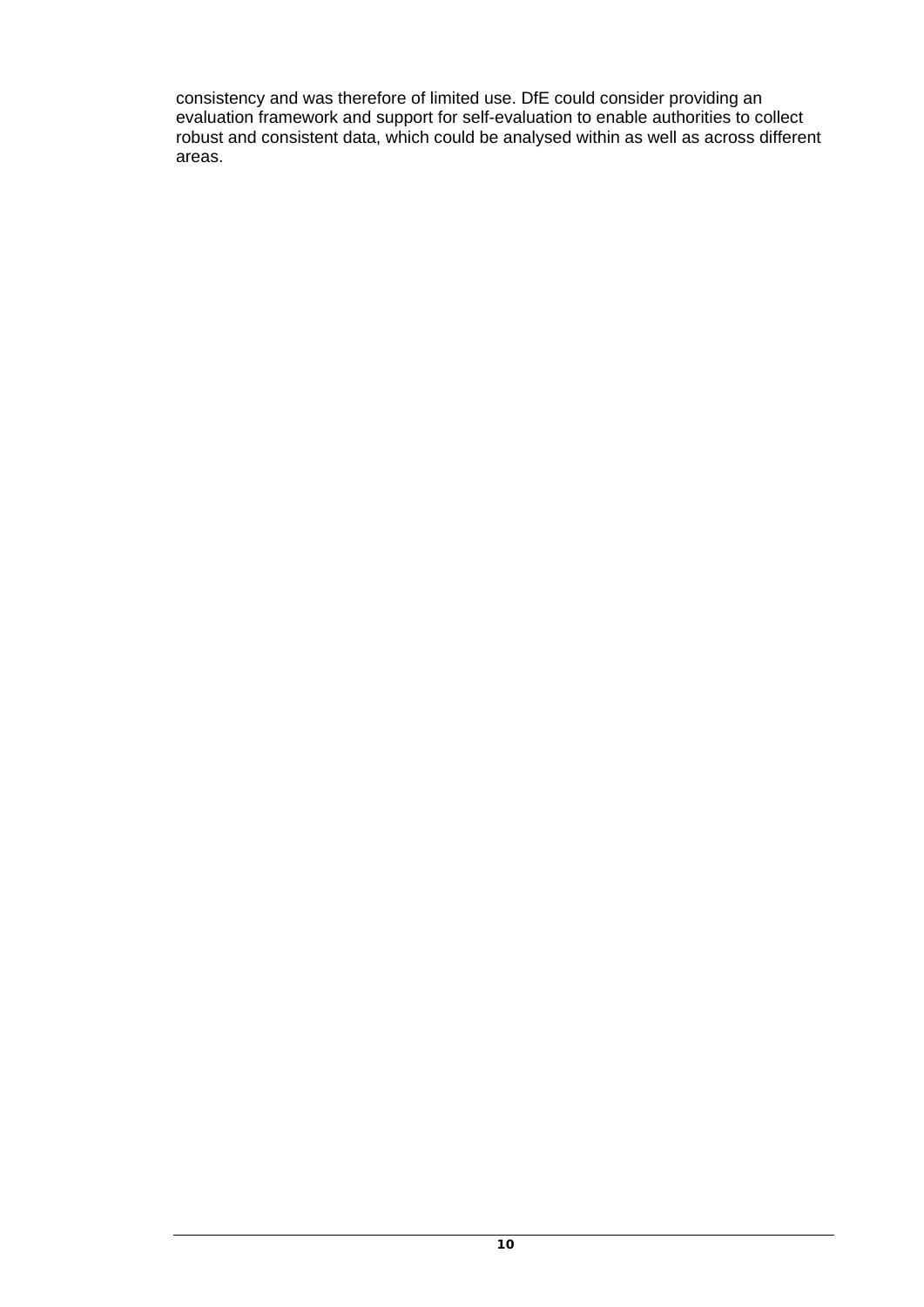consistency and was therefore of limited use. DfE could consider providing an evaluation framework and support for self-evaluation to enable authorities to collect robust and consistent data, which could be analysed within as well as across different areas.